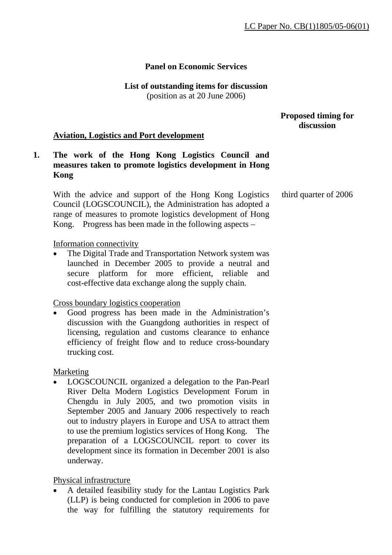# **Panel on Economic Services**

# **List of outstanding items for discussion**

(position as at 20 June 2006)

### **Proposed timing for discussion**

#### **Aviation, Logistics and Port development**

# **1. The work of the Hong Kong Logistics Council and measures taken to promote logistics development in Hong Kong**

With the advice and support of the Hong Kong Logistics Council (LOGSCOUNCIL), the Administration has adopted a range of measures to promote logistics development of Hong Kong. Progress has been made in the following aspects – third quarter of 2006

Information connectivity

The Digital Trade and Transportation Network system was launched in December 2005 to provide a neutral and secure platform for more efficient, reliable and cost-effective data exchange along the supply chain.

Cross boundary logistics cooperation

Good progress has been made in the Administration's discussion with the Guangdong authorities in respect of licensing, regulation and customs clearance to enhance efficiency of freight flow and to reduce cross-boundary trucking cost.

Marketing

• LOGSCOUNCIL organized a delegation to the Pan-Pearl River Delta Modern Logistics Development Forum in Chengdu in July 2005, and two promotion visits in September 2005 and January 2006 respectively to reach out to industry players in Europe and USA to attract them to use the premium logistics services of Hong Kong. The preparation of a LOGSCOUNCIL report to cover its development since its formation in December 2001 is also underway.

Physical infrastructure

• A detailed feasibility study for the Lantau Logistics Park (LLP) is being conducted for completion in 2006 to pave the way for fulfilling the statutory requirements for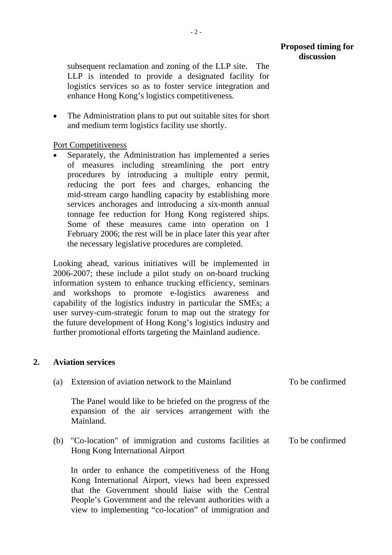subsequent reclamation and zoning of the LLP site. The LLP is intended to provide a designated facility for logistics services so as to foster service integration and enhance Hong Kong's logistics competitiveness.

• The Administration plans to put out suitable sites for short and medium term logistics facility use shortly.

Port Competitiveness

Separately, the Administration has implemented a series of measures including streamlining the port entry procedures by introducing a multiple entry permit, reducing the port fees and charges, enhancing the mid-stream cargo handling capacity by establishing more services anchorages and introducing a six-month annual tonnage fee reduction for Hong Kong registered ships. Some of these measures came into operation on 1 February 2006; the rest will be in place later this year after the necessary legislative procedures are completed.

Looking ahead, various initiatives will be implemented in 2006-2007; these include a pilot study on on-board trucking information system to enhance trucking efficiency, seminars and workshops to promote e-logistics awareness and capability of the logistics industry in particular the SMEs; a user survey-cum-strategic forum to map out the strategy for the future development of Hong Kong's logistics industry and further promotional efforts targeting the Mainland audience.

#### **2. Aviation services**

| (a) | Extension of aviation network to the Mainland                                                                                                                                                                                                                                         | To be confirmed |
|-----|---------------------------------------------------------------------------------------------------------------------------------------------------------------------------------------------------------------------------------------------------------------------------------------|-----------------|
|     | The Panel would like to be briefed on the progress of the<br>expansion of the air services arrangement with the<br>Mainland.                                                                                                                                                          |                 |
|     | (b) "Co-location" of immigration and customs facilities at<br>Hong Kong International Airport                                                                                                                                                                                         | To be confirmed |
|     | In order to enhance the competitiveness of the Hong<br>Kong International Airport, views had been expressed<br>that the Government should liaise with the Central<br>People's Government and the relevant authorities with a<br>view to implementing "co-location" of immigration and |                 |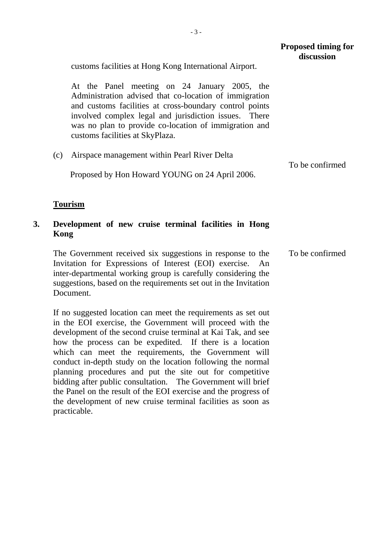|    |      | customs facilities at Hong Kong International Airport.                                                                                                                                                                                                                                                                 | discussion      |
|----|------|------------------------------------------------------------------------------------------------------------------------------------------------------------------------------------------------------------------------------------------------------------------------------------------------------------------------|-----------------|
|    |      | At the Panel meeting on 24 January 2005, the<br>Administration advised that co-location of immigration<br>and customs facilities at cross-boundary control points<br>involved complex legal and jurisdiction issues. There<br>was no plan to provide co-location of immigration and<br>customs facilities at SkyPlaza. |                 |
|    | (c)  | Airspace management within Pearl River Delta                                                                                                                                                                                                                                                                           |                 |
|    |      | Proposed by Hon Howard YOUNG on 24 April 2006.                                                                                                                                                                                                                                                                         | To be confirmed |
|    |      | <b>Tourism</b>                                                                                                                                                                                                                                                                                                         |                 |
| 3. | Kong | Development of new cruise terminal facilities in Hong                                                                                                                                                                                                                                                                  |                 |
|    |      | The Government received six suggestions in response to the                                                                                                                                                                                                                                                             | To be confirmed |

The Government received six suggestions in response to the Invitation for Expressions of Interest (EOI) exercise. An inter-departmental working group is carefully considering the suggestions, based on the requirements set out in the Invitation Document.

If no suggested location can meet the requirements as set out in the EOI exercise, the Government will proceed with the development of the second cruise terminal at Kai Tak, and see how the process can be expedited. If there is a location which can meet the requirements, the Government will conduct in-depth study on the location following the normal planning procedures and put the site out for competitive bidding after public consultation. The Government will brief the Panel on the result of the EOI exercise and the progress of the development of new cruise terminal facilities as soon as practicable.

**Proposed timing for**